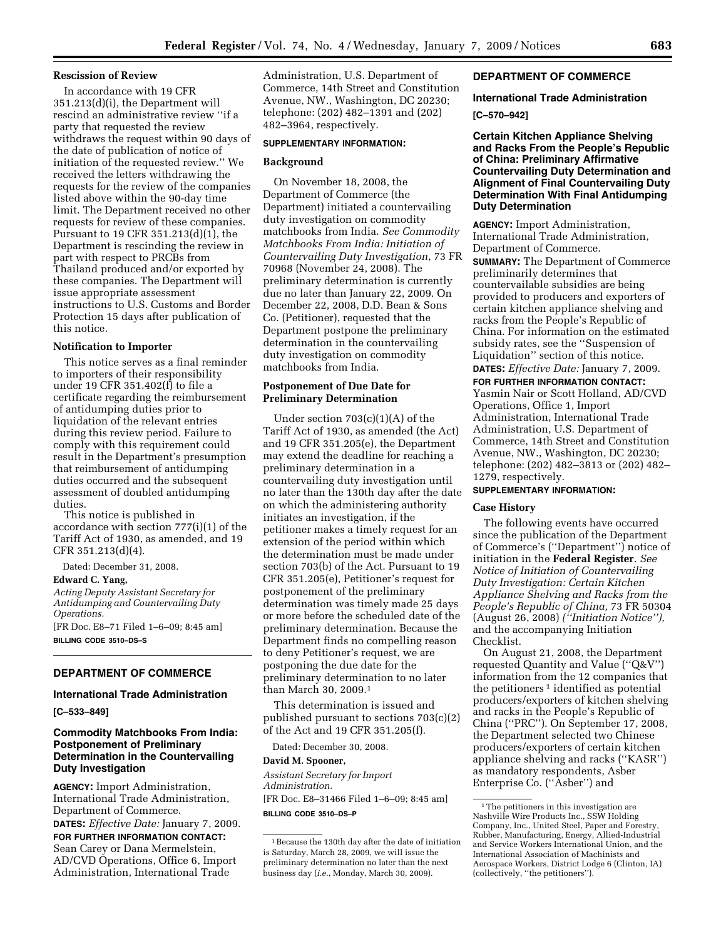#### **Rescission of Review**

In accordance with 19 CFR 351.213(d)(i), the Department will rescind an administrative review ''if a party that requested the review withdraws the request within 90 days of the date of publication of notice of initiation of the requested review.'' We received the letters withdrawing the requests for the review of the companies listed above within the 90-day time limit. The Department received no other requests for review of these companies. Pursuant to 19 CFR 351.213(d)(1), the Department is rescinding the review in part with respect to PRCBs from Thailand produced and/or exported by these companies. The Department will issue appropriate assessment instructions to U.S. Customs and Border Protection 15 days after publication of this notice.

### **Notification to Importer**

This notice serves as a final reminder to importers of their responsibility under 19 CFR 351.402(f) to file a certificate regarding the reimbursement of antidumping duties prior to liquidation of the relevant entries during this review period. Failure to comply with this requirement could result in the Department's presumption that reimbursement of antidumping duties occurred and the subsequent assessment of doubled antidumping duties.

This notice is published in accordance with section 777(i)(1) of the Tariff Act of 1930, as amended, and 19 CFR 351.213(d)(4).

Dated: December 31, 2008. **Edward C. Yang,**  *Acting Deputy Assistant Secretary for Antidumping and Countervailing Duty Operations.*  [FR Doc. E8–71 Filed 1–6–09; 8:45 am]

**BILLING CODE 3510–DS–S** 

# **DEPARTMENT OF COMMERCE**

# **International Trade Administration**

**[C–533–849]** 

## **Commodity Matchbooks From India: Postponement of Preliminary Determination in the Countervailing Duty Investigation**

**AGENCY:** Import Administration, International Trade Administration, Department of Commerce.

**DATES:** *Effective Date:* January 7, 2009. **FOR FURTHER INFORMATION CONTACT:**  Sean Carey or Dana Mermelstein, AD/CVD Operations, Office 6, Import Administration, International Trade

Administration, U.S. Department of Commerce, 14th Street and Constitution Avenue, NW., Washington, DC 20230; telephone: (202) 482–1391 and (202) 482–3964, respectively.

#### **SUPPLEMENTARY INFORMATION:**

## **Background**

On November 18, 2008, the Department of Commerce (the Department) initiated a countervailing duty investigation on commodity matchbooks from India. *See Commodity Matchbooks From India: Initiation of Countervailing Duty Investigation*, 73 FR 70968 (November 24, 2008). The preliminary determination is currently due no later than January 22, 2009. On December 22, 2008, D.D. Bean & Sons Co. (Petitioner), requested that the Department postpone the preliminary determination in the countervailing duty investigation on commodity matchbooks from India.

# **Postponement of Due Date for Preliminary Determination**

Under section 703(c)(1)(A) of the Tariff Act of 1930, as amended (the Act) and 19 CFR 351.205(e), the Department may extend the deadline for reaching a preliminary determination in a countervailing duty investigation until no later than the 130th day after the date on which the administering authority initiates an investigation, if the petitioner makes a timely request for an extension of the period within which the determination must be made under section 703(b) of the Act. Pursuant to 19 CFR 351.205(e), Petitioner's request for postponement of the preliminary determination was timely made 25 days or more before the scheduled date of the preliminary determination. Because the Department finds no compelling reason to deny Petitioner's request, we are postponing the due date for the preliminary determination to no later than March 30, 2009.1

This determination is issued and published pursuant to sections 703(c)(2) of the Act and 19 CFR 351.205(f).

Dated: December 30, 2008.

### **David M. Spooner,**

*Assistant Secretary for Import Administration.*  [FR Doc. E8–31466 Filed 1–6–09; 8:45 am] **BILLING CODE 3510–DS–P** 

# **DEPARTMENT OF COMMERCE**

## **International Trade Administration**

### **[C–570–942]**

**Certain Kitchen Appliance Shelving and Racks From the People's Republic of China: Preliminary Affirmative Countervailing Duty Determination and Alignment of Final Countervailing Duty Determination With Final Antidumping Duty Determination** 

**AGENCY:** Import Administration, International Trade Administration, Department of Commerce.

**SUMMARY:** The Department of Commerce preliminarily determines that countervailable subsidies are being provided to producers and exporters of certain kitchen appliance shelving and racks from the People's Republic of China. For information on the estimated subsidy rates, see the ''Suspension of Liquidation'' section of this notice. **DATES:** *Effective Date:* January 7, 2009.

**FOR FURTHER INFORMATION CONTACT:**  Yasmin Nair or Scott Holland, AD/CVD Operations, Office 1, Import Administration, International Trade Administration, U.S. Department of Commerce, 14th Street and Constitution Avenue, NW., Washington, DC 20230; telephone: (202) 482–3813 or (202) 482– 1279, respectively.

#### **SUPPLEMENTARY INFORMATION:**

#### **Case History**

The following events have occurred since the publication of the Department of Commerce's (''Department'') notice of initiation in the **Federal Register**. *See Notice of Initiation of Countervailing Duty Investigation: Certain Kitchen Appliance Shelving and Racks from the People's Republic of China,* 73 FR 50304 (August 26, 2008) *(''Initiation Notice''),*  and the accompanying Initiation Checklist.

On August 21, 2008, the Department requested Quantity and Value (''Q&V'') information from the 12 companies that the petitioners<sup>1</sup> identified as potential producers/exporters of kitchen shelving and racks in the People's Republic of China (''PRC''). On September 17, 2008, the Department selected two Chinese producers/exporters of certain kitchen appliance shelving and racks (''KASR'') as mandatory respondents, Asber Enterprise Co. (''Asber'') and

<sup>1</sup>Because the 130th day after the date of initiation is Saturday, March 28, 2009, we will issue the preliminary determination no later than the next business day (*i.e.*, Monday, March 30, 2009).

<sup>&</sup>lt;sup>1</sup>The petitioners in this investigation are Nashville Wire Products Inc., SSW Holding Company, Inc., United Steel, Paper and Forestry, Rubber, Manufacturing, Energy, Allied-Industrial and Service Workers International Union, and the International Association of Machinists and Aerospace Workers, District Lodge 6 (Clinton, IA) (collectively, ''the petitioners'').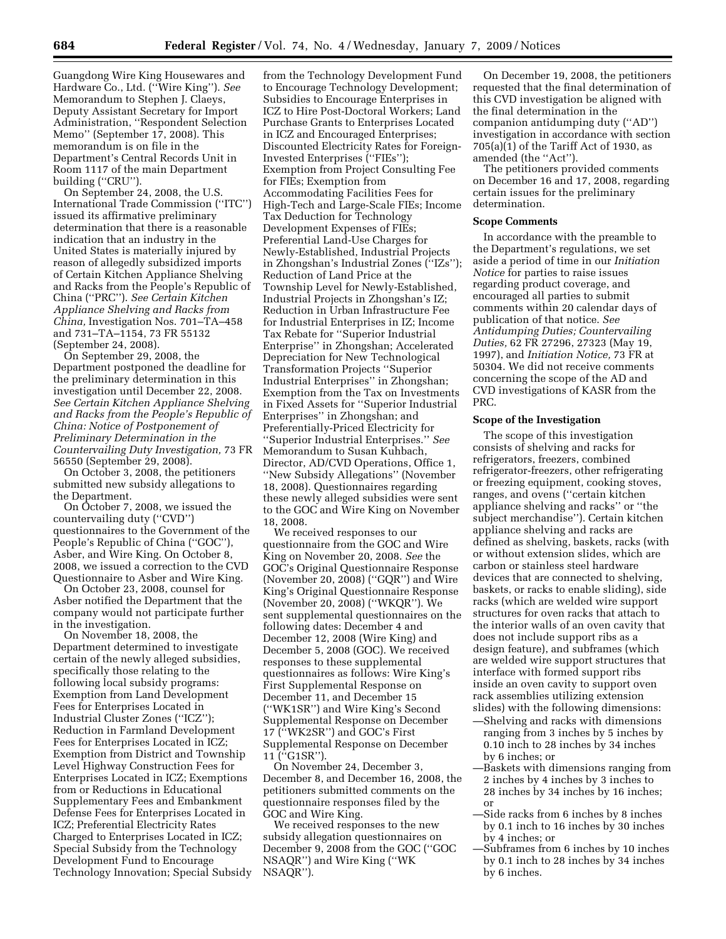Guangdong Wire King Housewares and Hardware Co., Ltd. (''Wire King''). *See*  Memorandum to Stephen J. Claeys, Deputy Assistant Secretary for Import Administration, ''Respondent Selection Memo'' (September 17, 2008). This memorandum is on file in the Department's Central Records Unit in Room 1117 of the main Department building (''CRU'').

On September 24, 2008, the U.S. International Trade Commission (''ITC'') issued its affirmative preliminary determination that there is a reasonable indication that an industry in the United States is materially injured by reason of allegedly subsidized imports of Certain Kitchen Appliance Shelving and Racks from the People's Republic of China (''PRC''). *See Certain Kitchen Appliance Shelving and Racks from China,* Investigation Nos. 701–TA–458 and 731–TA–1154, 73 FR 55132 (September 24, 2008).

On September 29, 2008, the Department postponed the deadline for the preliminary determination in this investigation until December 22, 2008. *See Certain Kitchen Appliance Shelving and Racks from the People's Republic of China: Notice of Postponement of Preliminary Determination in the Countervailing Duty Investigation,* 73 FR 56550 (September 29, 2008).

On October 3, 2008, the petitioners submitted new subsidy allegations to the Department.

On October 7, 2008, we issued the countervailing duty (''CVD'') questionnaires to the Government of the People's Republic of China (''GOC''), Asber, and Wire King. On October 8, 2008, we issued a correction to the CVD Questionnaire to Asber and Wire King.

On October 23, 2008, counsel for Asber notified the Department that the company would not participate further in the investigation.

On November 18, 2008, the Department determined to investigate certain of the newly alleged subsidies, specifically those relating to the following local subsidy programs: Exemption from Land Development Fees for Enterprises Located in Industrial Cluster Zones (''ICZ''); Reduction in Farmland Development Fees for Enterprises Located in ICZ; Exemption from District and Township Level Highway Construction Fees for Enterprises Located in ICZ; Exemptions from or Reductions in Educational Supplementary Fees and Embankment Defense Fees for Enterprises Located in ICZ; Preferential Electricity Rates Charged to Enterprises Located in ICZ; Special Subsidy from the Technology Development Fund to Encourage Technology Innovation; Special Subsidy

from the Technology Development Fund to Encourage Technology Development; Subsidies to Encourage Enterprises in ICZ to Hire Post-Doctoral Workers; Land Purchase Grants to Enterprises Located in ICZ and Encouraged Enterprises; Discounted Electricity Rates for Foreign-Invested Enterprises (''FIEs''); Exemption from Project Consulting Fee for FIEs; Exemption from Accommodating Facilities Fees for High-Tech and Large-Scale FIEs; Income Tax Deduction for Technology Development Expenses of FIEs; Preferential Land-Use Charges for Newly-Established, Industrial Projects in Zhongshan's Industrial Zones (''IZs''); Reduction of Land Price at the Township Level for Newly-Established, Industrial Projects in Zhongshan's IZ; Reduction in Urban Infrastructure Fee for Industrial Enterprises in IZ; Income Tax Rebate for ''Superior Industrial Enterprise'' in Zhongshan; Accelerated Depreciation for New Technological Transformation Projects ''Superior Industrial Enterprises'' in Zhongshan; Exemption from the Tax on Investments in Fixed Assets for ''Superior Industrial Enterprises'' in Zhongshan; and Preferentially-Priced Electricity for ''Superior Industrial Enterprises.'' *See*  Memorandum to Susan Kuhbach, Director, AD/CVD Operations, Office 1, ''New Subsidy Allegations'' (November 18, 2008). Questionnaires regarding these newly alleged subsidies were sent to the GOC and Wire King on November 18, 2008.

We received responses to our questionnaire from the GOC and Wire King on November 20, 2008. *See* the GOC's Original Questionnaire Response (November 20, 2008) (''GQR'') and Wire King's Original Questionnaire Response (November 20, 2008) (''WKQR''). We sent supplemental questionnaires on the following dates: December 4 and December 12, 2008 (Wire King) and December 5, 2008 (GOC). We received responses to these supplemental questionnaires as follows: Wire King's First Supplemental Response on December 11, and December 15 (''WK1SR'') and Wire King's Second Supplemental Response on December 17 (''WK2SR'') and GOC's First Supplemental Response on December 11 (''G1SR'').

On November 24, December 3, December 8, and December 16, 2008, the petitioners submitted comments on the questionnaire responses filed by the GOC and Wire King.

We received responses to the new subsidy allegation questionnaires on December 9, 2008 from the GOC (''GOC NSAQR'') and Wire King (''WK NSAQR'').

On December 19, 2008, the petitioners requested that the final determination of this CVD investigation be aligned with the final determination in the companion antidumping duty (''AD'') investigation in accordance with section 705(a)(1) of the Tariff Act of 1930, as amended (the ''Act'').

The petitioners provided comments on December 16 and 17, 2008, regarding certain issues for the preliminary determination.

#### **Scope Comments**

In accordance with the preamble to the Department's regulations, we set aside a period of time in our *Initiation Notice* for parties to raise issues regarding product coverage, and encouraged all parties to submit comments within 20 calendar days of publication of that notice. *See Antidumping Duties; Countervailing Duties,* 62 FR 27296, 27323 (May 19, 1997), and *Initiation Notice,* 73 FR at 50304. We did not receive comments concerning the scope of the AD and CVD investigations of KASR from the PRC.

### **Scope of the Investigation**

The scope of this investigation consists of shelving and racks for refrigerators, freezers, combined refrigerator-freezers, other refrigerating or freezing equipment, cooking stoves, ranges, and ovens (''certain kitchen appliance shelving and racks'' or ''the subject merchandise''). Certain kitchen appliance shelving and racks are defined as shelving, baskets, racks (with or without extension slides, which are carbon or stainless steel hardware devices that are connected to shelving, baskets, or racks to enable sliding), side racks (which are welded wire support structures for oven racks that attach to the interior walls of an oven cavity that does not include support ribs as a design feature), and subframes (which are welded wire support structures that interface with formed support ribs inside an oven cavity to support oven rack assemblies utilizing extension slides) with the following dimensions:

- —Shelving and racks with dimensions ranging from 3 inches by 5 inches by 0.10 inch to 28 inches by 34 inches by 6 inches; or
- —Baskets with dimensions ranging from 2 inches by 4 inches by 3 inches to 28 inches by 34 inches by 16 inches; or
- —Side racks from 6 inches by 8 inches by 0.1 inch to 16 inches by 30 inches by 4 inches; or
- —Subframes from 6 inches by 10 inches by 0.1 inch to 28 inches by 34 inches by 6 inches.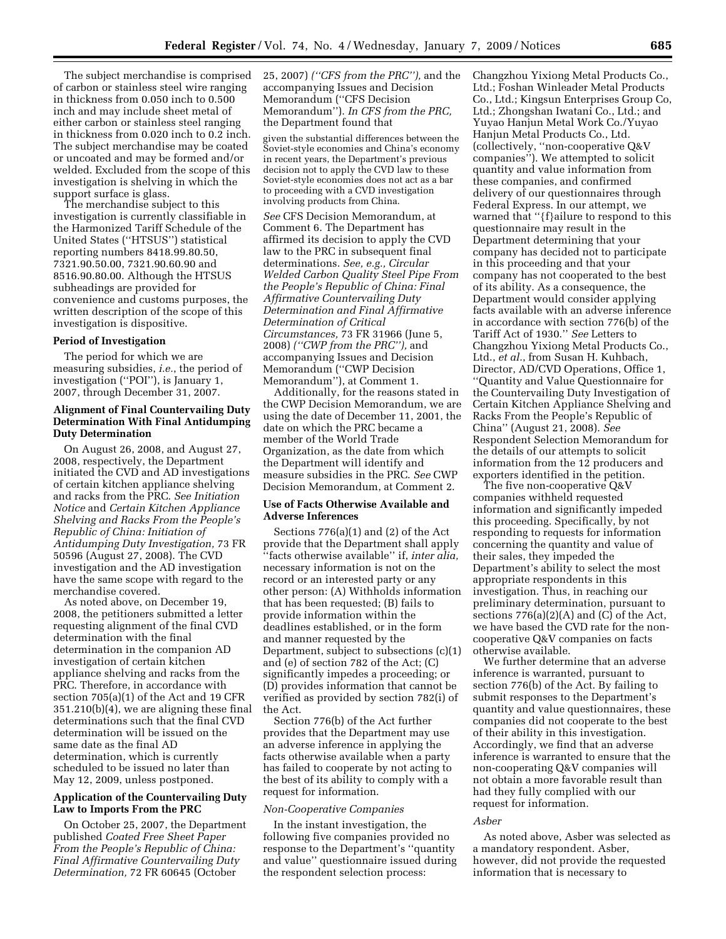The subject merchandise is comprised of carbon or stainless steel wire ranging in thickness from 0.050 inch to 0.500 inch and may include sheet metal of either carbon or stainless steel ranging in thickness from 0.020 inch to 0.2 inch. The subject merchandise may be coated or uncoated and may be formed and/or welded. Excluded from the scope of this investigation is shelving in which the support surface is glass.

The merchandise subject to this investigation is currently classifiable in the Harmonized Tariff Schedule of the United States (''HTSUS'') statistical reporting numbers 8418.99.80.50, 7321.90.50.00, 7321.90.60.90 and 8516.90.80.00. Although the HTSUS subheadings are provided for convenience and customs purposes, the written description of the scope of this investigation is dispositive.

#### **Period of Investigation**

The period for which we are measuring subsidies, *i.e.*, the period of investigation (''POI''), is January 1, 2007, through December 31, 2007.

## **Alignment of Final Countervailing Duty Determination With Final Antidumping Duty Determination**

On August 26, 2008, and August 27, 2008, respectively, the Department initiated the CVD and AD investigations of certain kitchen appliance shelving and racks from the PRC. *See Initiation Notice* and *Certain Kitchen Appliance Shelving and Racks From the People's Republic of China: Initiation of Antidumping Duty Investigation,* 73 FR 50596 (August 27, 2008). The CVD investigation and the AD investigation have the same scope with regard to the merchandise covered.

As noted above, on December 19, 2008, the petitioners submitted a letter requesting alignment of the final CVD determination with the final determination in the companion AD investigation of certain kitchen appliance shelving and racks from the PRC. Therefore, in accordance with section 705(a)(1) of the Act and 19 CFR 351.210(b)(4), we are aligning these final determinations such that the final CVD determination will be issued on the same date as the final AD determination, which is currently scheduled to be issued no later than May 12, 2009, unless postponed.

## **Application of the Countervailing Duty Law to Imports From the PRC**

On October 25, 2007, the Department published *Coated Free Sheet Paper From the People's Republic of China: Final Affirmative Countervailing Duty Determination,* 72 FR 60645 (October

25, 2007) *(''CFS from the PRC''),* and the accompanying Issues and Decision Memorandum (''CFS Decision Memorandum''). *In CFS from the PRC,*  the Department found that

given the substantial differences between the Soviet-style economies and China's economy in recent years, the Department's previous decision not to apply the CVD law to these Soviet-style economies does not act as a bar to proceeding with a CVD investigation involving products from China.

*See* CFS Decision Memorandum, at Comment 6. The Department has affirmed its decision to apply the CVD law to the PRC in subsequent final determinations. *See, e.g., Circular Welded Carbon Quality Steel Pipe From the People's Republic of China: Final Affirmative Countervailing Duty Determination and Final Affirmative Determination of Critical Circumstances,* 73 FR 31966 (June 5, 2008) *(''CWP from the PRC''),* and accompanying Issues and Decision Memorandum (''CWP Decision Memorandum''), at Comment 1.

Additionally, for the reasons stated in the CWP Decision Memorandum, we are using the date of December 11, 2001, the date on which the PRC became a member of the World Trade Organization, as the date from which the Department will identify and measure subsidies in the PRC. *See* CWP Decision Memorandum, at Comment 2.

## **Use of Facts Otherwise Available and Adverse Inferences**

Sections 776(a)(1) and (2) of the Act provide that the Department shall apply ''facts otherwise available'' if, *inter alia,*  necessary information is not on the record or an interested party or any other person: (A) Withholds information that has been requested; (B) fails to provide information within the deadlines established, or in the form and manner requested by the Department, subject to subsections (c)(1) and (e) of section 782 of the Act; (C) significantly impedes a proceeding; or (D) provides information that cannot be verified as provided by section 782(i) of the Act.

Section 776(b) of the Act further provides that the Department may use an adverse inference in applying the facts otherwise available when a party has failed to cooperate by not acting to the best of its ability to comply with a request for information.

#### *Non-Cooperative Companies*

In the instant investigation, the following five companies provided no response to the Department's ''quantity and value'' questionnaire issued during the respondent selection process:

Changzhou Yixiong Metal Products Co., Ltd.; Foshan Winleader Metal Products Co., Ltd.; Kingsun Enterprises Group Co, Ltd.; Zhongshan Iwatani Co., Ltd.; and Yuyao Hanjun Metal Work Co./Yuyao Hanjun Metal Products Co., Ltd. (collectively, ''non-cooperative Q&V companies''). We attempted to solicit quantity and value information from these companies, and confirmed delivery of our questionnaires through Federal Express. In our attempt, we warned that ''{f}ailure to respond to this questionnaire may result in the Department determining that your company has decided not to participate in this proceeding and that your company has not cooperated to the best of its ability. As a consequence, the Department would consider applying facts available with an adverse inference in accordance with section 776(b) of the Tariff Act of 1930.'' *See* Letters to Changzhou Yixiong Metal Products Co., Ltd., *et al.*, from Susan H. Kuhbach, Director, AD/CVD Operations, Office 1, ''Quantity and Value Questionnaire for the Countervailing Duty Investigation of Certain Kitchen Appliance Shelving and Racks From the People's Republic of China'' (August 21, 2008). *See*  Respondent Selection Memorandum for the details of our attempts to solicit information from the 12 producers and exporters identified in the petition.

The five non-cooperative Q&V companies withheld requested information and significantly impeded this proceeding. Specifically, by not responding to requests for information concerning the quantity and value of their sales, they impeded the Department's ability to select the most appropriate respondents in this investigation. Thus, in reaching our preliminary determination, pursuant to sections 776(a)(2)(A) and (C) of the Act, we have based the CVD rate for the noncooperative Q&V companies on facts otherwise available.

We further determine that an adverse inference is warranted, pursuant to section 776(b) of the Act. By failing to submit responses to the Department's quantity and value questionnaires, these companies did not cooperate to the best of their ability in this investigation. Accordingly, we find that an adverse inference is warranted to ensure that the non-cooperating Q&V companies will not obtain a more favorable result than had they fully complied with our request for information.

## *Asber*

As noted above, Asber was selected as a mandatory respondent. Asber, however, did not provide the requested information that is necessary to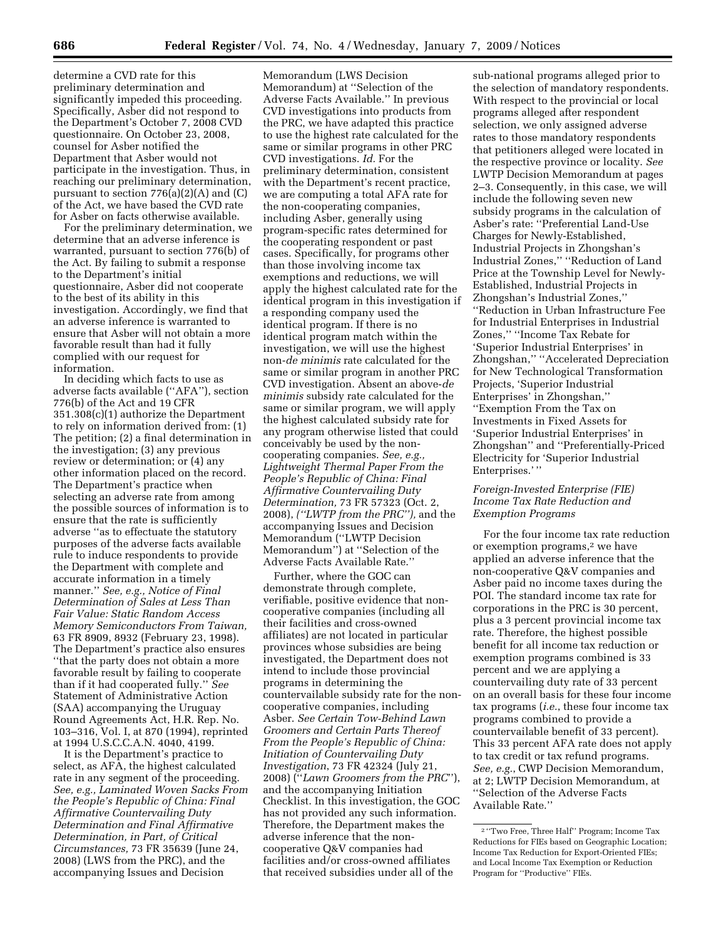determine a CVD rate for this preliminary determination and significantly impeded this proceeding. Specifically, Asber did not respond to the Department's October 7, 2008 CVD questionnaire. On October 23, 2008, counsel for Asber notified the Department that Asber would not participate in the investigation. Thus, in reaching our preliminary determination, pursuant to section 776(a)(2)(A) and (C) of the Act, we have based the CVD rate for Asber on facts otherwise available.

For the preliminary determination, we determine that an adverse inference is warranted, pursuant to section 776(b) of the Act. By failing to submit a response to the Department's initial questionnaire, Asber did not cooperate to the best of its ability in this investigation. Accordingly, we find that an adverse inference is warranted to ensure that Asber will not obtain a more favorable result than had it fully complied with our request for information.

In deciding which facts to use as adverse facts available (''AFA''), section 776(b) of the Act and 19 CFR 351.308(c)(1) authorize the Department to rely on information derived from: (1) The petition; (2) a final determination in the investigation; (3) any previous review or determination; or (4) any other information placed on the record. The Department's practice when selecting an adverse rate from among the possible sources of information is to ensure that the rate is sufficiently adverse ''as to effectuate the statutory purposes of the adverse facts available rule to induce respondents to provide the Department with complete and accurate information in a timely manner.'' *See, e.g., Notice of Final Determination of Sales at Less Than Fair Value: Static Random Access Memory Semiconductors From Taiwan,*  63 FR 8909, 8932 (February 23, 1998). The Department's practice also ensures ''that the party does not obtain a more favorable result by failing to cooperate than if it had cooperated fully.'' *See*  Statement of Administrative Action (SAA) accompanying the Uruguay Round Agreements Act, H.R. Rep. No. 103–316, Vol. I, at 870 (1994), reprinted at 1994 U.S.C.C.A.N. 4040, 4199.

It is the Department's practice to select, as AFA, the highest calculated rate in any segment of the proceeding. *See, e.g., Laminated Woven Sacks From the People's Republic of China: Final Affirmative Countervailing Duty Determination and Final Affirmative Determination, in Part, of Critical Circumstances,* 73 FR 35639 (June 24, 2008) (LWS from the PRC), and the accompanying Issues and Decision

Memorandum (LWS Decision Memorandum) at ''Selection of the Adverse Facts Available.'' In previous CVD investigations into products from the PRC, we have adapted this practice to use the highest rate calculated for the same or similar programs in other PRC CVD investigations. *Id.* For the preliminary determination, consistent with the Department's recent practice, we are computing a total AFA rate for the non-cooperating companies, including Asber, generally using program-specific rates determined for the cooperating respondent or past cases. Specifically, for programs other than those involving income tax exemptions and reductions, we will apply the highest calculated rate for the identical program in this investigation if a responding company used the identical program. If there is no identical program match within the investigation, we will use the highest non-*de minimis* rate calculated for the same or similar program in another PRC CVD investigation. Absent an above-*de minimis* subsidy rate calculated for the same or similar program, we will apply the highest calculated subsidy rate for any program otherwise listed that could conceivably be used by the noncooperating companies. *See, e.g., Lightweight Thermal Paper From the People's Republic of China: Final Affirmative Countervailing Duty Determination,* 73 FR 57323 (Oct. 2, 2008), *(''LWTP from the PRC''),* and the accompanying Issues and Decision Memorandum (''LWTP Decision Memorandum'') at ''Selection of the Adverse Facts Available Rate.''

Further, where the GOC can demonstrate through complete, verifiable, positive evidence that noncooperative companies (including all their facilities and cross-owned affiliates) are not located in particular provinces whose subsidies are being investigated, the Department does not intend to include those provincial programs in determining the countervailable subsidy rate for the noncooperative companies, including Asber. *See Certain Tow-Behind Lawn Groomers and Certain Parts Thereof From the People's Republic of China: Initiation of Countervailing Duty Investigation*, 73 FR 42324 (July 21, 2008) (''*Lawn Groomers from the PRC*''), and the accompanying Initiation Checklist. In this investigation, the GOC has not provided any such information. Therefore, the Department makes the adverse inference that the noncooperative Q&V companies had facilities and/or cross-owned affiliates that received subsidies under all of the

sub-national programs alleged prior to the selection of mandatory respondents. With respect to the provincial or local programs alleged after respondent selection, we only assigned adverse rates to those mandatory respondents that petitioners alleged were located in the respective province or locality. *See*  LWTP Decision Memorandum at pages 2–3. Consequently, in this case, we will include the following seven new subsidy programs in the calculation of Asber's rate: ''Preferential Land-Use Charges for Newly-Established, Industrial Projects in Zhongshan's Industrial Zones,'' ''Reduction of Land Price at the Township Level for Newly-Established, Industrial Projects in Zhongshan's Industrial Zones,'' ''Reduction in Urban Infrastructure Fee for Industrial Enterprises in Industrial Zones,'' ''Income Tax Rebate for 'Superior Industrial Enterprises' in Zhongshan,'' ''Accelerated Depreciation for New Technological Transformation Projects, 'Superior Industrial Enterprises' in Zhongshan,'' ''Exemption From the Tax on Investments in Fixed Assets for 'Superior Industrial Enterprises' in Zhongshan'' and ''Preferentially-Priced Electricity for 'Superior Industrial Enterprises.' ''

# *Foreign-Invested Enterprise (FIE) Income Tax Rate Reduction and Exemption Programs*

For the four income tax rate reduction or exemption programs,2 we have applied an adverse inference that the non-cooperative Q&V companies and Asber paid no income taxes during the POI. The standard income tax rate for corporations in the PRC is 30 percent, plus a 3 percent provincial income tax rate. Therefore, the highest possible benefit for all income tax reduction or exemption programs combined is 33 percent and we are applying a countervailing duty rate of 33 percent on an overall basis for these four income tax programs (*i.e.*, these four income tax programs combined to provide a countervailable benefit of 33 percent). This 33 percent AFA rate does not apply to tax credit or tax refund programs. *See, e.g.*, CWP Decision Memorandum, at 2; LWTP Decision Memorandum, at ''Selection of the Adverse Facts Available Rate.''

<sup>2</sup> ''Two Free, Three Half'' Program; Income Tax Reductions for FIEs based on Geographic Location; Income Tax Reduction for Export-Oriented FIEs; and Local Income Tax Exemption or Reduction Program for ''Productive'' FIEs.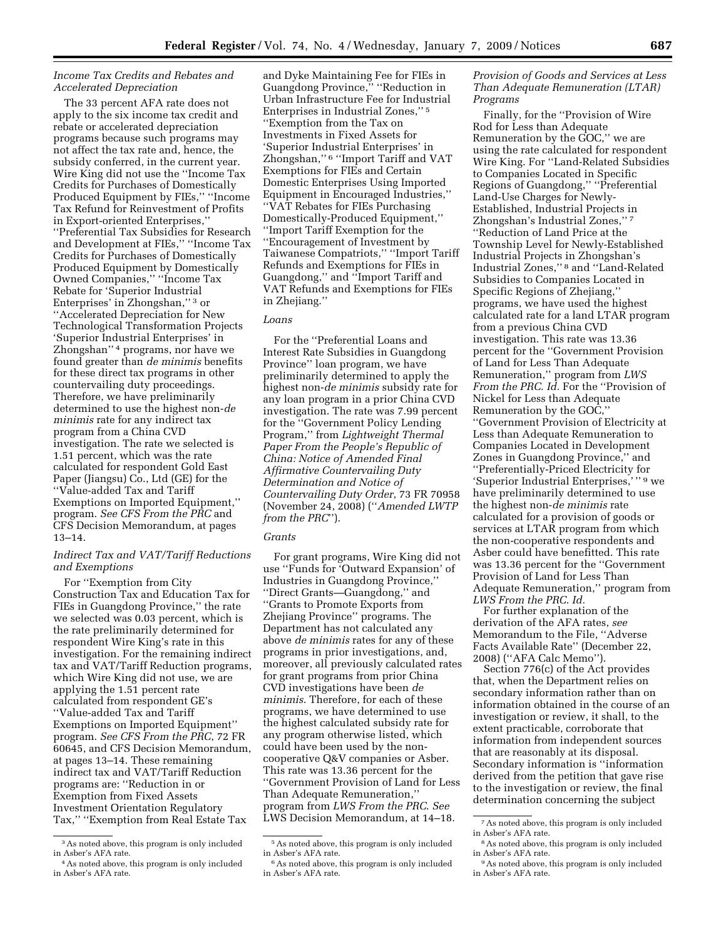## *Income Tax Credits and Rebates and Accelerated Depreciation*

The 33 percent AFA rate does not apply to the six income tax credit and rebate or accelerated depreciation programs because such programs may not affect the tax rate and, hence, the subsidy conferred, in the current year. Wire King did not use the ''Income Tax Credits for Purchases of Domestically Produced Equipment by FIEs,'' ''Income Tax Refund for Reinvestment of Profits in Export-oriented Enterprises,'' ''Preferential Tax Subsidies for Research and Development at FIEs,'' ''Income Tax Credits for Purchases of Domestically Produced Equipment by Domestically Owned Companies,'' ''Income Tax Rebate for 'Superior Industrial Enterprises' in Zhongshan,'' 3 or ''Accelerated Depreciation for New Technological Transformation Projects 'Superior Industrial Enterprises' in Zhongshan'' 4 programs, nor have we found greater than *de minimis* benefits for these direct tax programs in other countervailing duty proceedings. Therefore, we have preliminarily determined to use the highest non-*de minimis* rate for any indirect tax program from a China CVD investigation. The rate we selected is 1.51 percent, which was the rate calculated for respondent Gold East Paper (Jiangsu) Co., Ltd (GE) for the ''Value-added Tax and Tariff Exemptions on Imported Equipment,'' program. *See CFS From the PRC* and CFS Decision Memorandum, at pages 13–14.

## *Indirect Tax and VAT/Tariff Reductions and Exemptions*

For ''Exemption from City Construction Tax and Education Tax for FIEs in Guangdong Province,'' the rate we selected was 0.03 percent, which is the rate preliminarily determined for respondent Wire King's rate in this investigation. For the remaining indirect tax and VAT/Tariff Reduction programs, which Wire King did not use, we are applying the 1.51 percent rate calculated from respondent GE's ''Value-added Tax and Tariff Exemptions on Imported Equipment'' program. *See CFS From the PRC*, 72 FR 60645, and CFS Decision Memorandum, at pages 13–14. These remaining indirect tax and VAT/Tariff Reduction programs are: ''Reduction in or Exemption from Fixed Assets Investment Orientation Regulatory Tax,'' ''Exemption from Real Estate Tax

and Dyke Maintaining Fee for FIEs in Guangdong Province,'' ''Reduction in Urban Infrastructure Fee for Industrial Enterprises in Industrial Zones,'' 5 ''Exemption from the Tax on Investments in Fixed Assets for 'Superior Industrial Enterprises' in Zhongshan,'' 6 ''Import Tariff and VAT Exemptions for FIEs and Certain Domestic Enterprises Using Imported Equipment in Encouraged Industries,'' ''VAT Rebates for FIEs Purchasing Domestically-Produced Equipment,'' ''Import Tariff Exemption for the ''Encouragement of Investment by Taiwanese Compatriots,'' ''Import Tariff Refunds and Exemptions for FIEs in Guangdong,'' and ''Import Tariff and VAT Refunds and Exemptions for FIEs in Zhejiang.''

## *Loans*

For the ''Preferential Loans and Interest Rate Subsidies in Guangdong Province'' loan program, we have preliminarily determined to apply the highest non-*de minimis* subsidy rate for any loan program in a prior China CVD investigation. The rate was 7.99 percent for the ''Government Policy Lending Program,'' from *Lightweight Thermal Paper From the People's Republic of China: Notice of Amended Final Affirmative Countervailing Duty Determination and Notice of Countervailing Duty Order*, 73 FR 70958 (November 24, 2008) (''*Amended LWTP from the PRC*'').

#### *Grants*

For grant programs, Wire King did not use ''Funds for 'Outward Expansion' of Industries in Guangdong Province,'' ''Direct Grants—Guangdong,'' and ''Grants to Promote Exports from Zhejiang Province'' programs. The Department has not calculated any above *de minimis* rates for any of these programs in prior investigations, and, moreover, all previously calculated rates for grant programs from prior China CVD investigations have been *de minimis*. Therefore, for each of these programs, we have determined to use the highest calculated subsidy rate for any program otherwise listed, which could have been used by the noncooperative Q&V companies or Asber. This rate was 13.36 percent for the ''Government Provision of Land for Less Than Adequate Remuneration, program from *LWS From the PRC*. *See*  LWS Decision Memorandum, at 14–18.

# *Provision of Goods and Services at Less Than Adequate Remuneration (LTAR) Programs*

Finally, for the ''Provision of Wire Rod for Less than Adequate Remuneration by the GOC,'' we are using the rate calculated for respondent Wire King. For ''Land-Related Subsidies to Companies Located in Specific Regions of Guangdong,'' ''Preferential Land-Use Charges for Newly-Established, Industrial Projects in Zhongshan's Industrial Zones,'' 7 ''Reduction of Land Price at the Township Level for Newly-Established Industrial Projects in Zhongshan's Industrial Zones,'' 8 and ''Land-Related Subsidies to Companies Located in Specific Regions of Zhejiang,'' programs, we have used the highest calculated rate for a land LTAR program from a previous China CVD investigation. This rate was 13.36 percent for the ''Government Provision of Land for Less Than Adequate Remuneration,'' program from *LWS From the PRC*. *Id.* For the ''Provision of Nickel for Less than Adequate Remuneration by the GOC,'' ''Government Provision of Electricity at Less than Adequate Remuneration to Companies Located in Development Zones in Guangdong Province,'' and ''Preferentially-Priced Electricity for 'Superior Industrial Enterprises,' '' 9 we have preliminarily determined to use the highest non-*de minimis* rate calculated for a provision of goods or services at LTAR program from which the non-cooperative respondents and Asber could have benefitted. This rate was 13.36 percent for the ''Government Provision of Land for Less Than Adequate Remuneration,'' program from *LWS From the PRC*. *Id.* 

For further explanation of the derivation of the AFA rates, *see*  Memorandum to the File, ''Adverse Facts Available Rate'' (December 22, 2008) (''AFA Calc Memo'').

Section 776(c) of the Act provides that, when the Department relies on secondary information rather than on information obtained in the course of an investigation or review, it shall, to the extent practicable, corroborate that information from independent sources that are reasonably at its disposal. Secondary information is ''information derived from the petition that gave rise to the investigation or review, the final determination concerning the subject

<sup>3</sup>As noted above, this program is only included in Asber's AFA rate.

<sup>4</sup>As noted above, this program is only included in Asber's AFA rate.

<sup>5</sup>As noted above, this program is only included in Asber's AFA rate.

<sup>6</sup>As noted above, this program is only included in Asber's AFA rate.

<sup>7</sup>As noted above, this program is only included in Asber's AFA rate.

<sup>8</sup>As noted above, this program is only included in Asber's AFA rate.

<sup>9</sup>As noted above, this program is only included in Asber's AFA rate.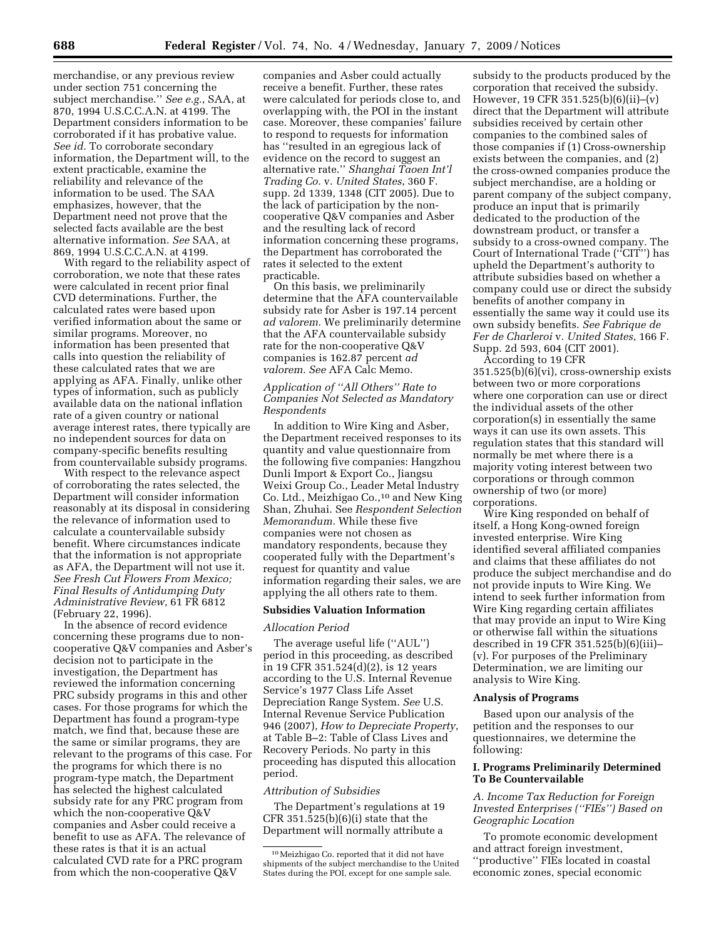merchandise, or any previous review under section 751 concerning the subject merchandise.'' *See e.g.*, SAA, at 870, 1994 U.S.C.C.A.N. at 4199. The Department considers information to be corroborated if it has probative value. *See id.* To corroborate secondary information, the Department will, to the extent practicable, examine the reliability and relevance of the information to be used. The SAA emphasizes, however, that the Department need not prove that the selected facts available are the best alternative information. *See* SAA, at 869, 1994 U.S.C.C.A.N. at 4199.

With regard to the reliability aspect of corroboration, we note that these rates were calculated in recent prior final CVD determinations. Further, the calculated rates were based upon verified information about the same or similar programs. Moreover, no information has been presented that calls into question the reliability of these calculated rates that we are applying as AFA. Finally, unlike other types of information, such as publicly available data on the national inflation rate of a given country or national average interest rates, there typically are no independent sources for data on company-specific benefits resulting from countervailable subsidy programs.

With respect to the relevance aspect of corroborating the rates selected, the Department will consider information reasonably at its disposal in considering the relevance of information used to calculate a countervailable subsidy benefit. Where circumstances indicate that the information is not appropriate as AFA, the Department will not use it. *See Fresh Cut Flowers From Mexico; Final Results of Antidumping Duty Administrative Review*, 61 FR 6812 (February 22, 1996).

In the absence of record evidence concerning these programs due to noncooperative Q&V companies and Asber's decision not to participate in the investigation, the Department has reviewed the information concerning PRC subsidy programs in this and other cases. For those programs for which the Department has found a program-type match, we find that, because these are the same or similar programs, they are relevant to the programs of this case. For the programs for which there is no program-type match, the Department has selected the highest calculated subsidy rate for any PRC program from which the non-cooperative Q&V companies and Asber could receive a benefit to use as AFA. The relevance of these rates is that it is an actual calculated CVD rate for a PRC program from which the non-cooperative Q&V

companies and Asber could actually receive a benefit. Further, these rates were calculated for periods close to, and overlapping with, the POI in the instant case. Moreover, these companies' failure to respond to requests for information has ''resulted in an egregious lack of evidence on the record to suggest an alternative rate.'' *Shanghai Taoen Int'l Trading Co.* v. *United States*, 360 F. supp. 2d 1339, 1348 (CIT 2005). Due to the lack of participation by the noncooperative Q&V companies and Asber and the resulting lack of record information concerning these programs, the Department has corroborated the rates it selected to the extent practicable.

On this basis, we preliminarily determine that the AFA countervailable subsidy rate for Asber is 197.14 percent *ad valorem.* We preliminarily determine that the AFA countervailable subsidy rate for the non-cooperative Q&V companies is 162.87 percent *ad valorem. See* AFA Calc Memo.

## *Application of ''All Others'' Rate to Companies Not Selected as Mandatory Respondents*

In addition to Wire King and Asber, the Department received responses to its quantity and value questionnaire from the following five companies: Hangzhou Dunli Import & Export Co., Jiangsu Weixi Group Co., Leader Metal Industry Co. Ltd., Meizhigao Co.,10 and New King Shan, Zhuhai. See *Respondent Selection Memorandum.* While these five companies were not chosen as mandatory respondents, because they cooperated fully with the Department's request for quantity and value information regarding their sales, we are applying the all others rate to them.

### **Subsidies Valuation Information**

#### *Allocation Period*

The average useful life (''AUL'') period in this proceeding, as described in 19 CFR 351.524(d)(2), is 12 years according to the U.S. Internal Revenue Service's 1977 Class Life Asset Depreciation Range System. *See* U.S. Internal Revenue Service Publication 946 (2007), *How to Depreciate Property*, at Table B–2: Table of Class Lives and Recovery Periods. No party in this proceeding has disputed this allocation period.

#### *Attribution of Subsidies*

The Department's regulations at 19 CFR 351.525(b)(6)(i) state that the Department will normally attribute a

subsidy to the products produced by the corporation that received the subsidy. However, 19 CFR 351.525(b)(6)(ii)–(v) direct that the Department will attribute subsidies received by certain other companies to the combined sales of those companies if (1) Cross-ownership exists between the companies, and (2) the cross-owned companies produce the subject merchandise, are a holding or parent company of the subject company, produce an input that is primarily dedicated to the production of the downstream product, or transfer a subsidy to a cross-owned company. The Court of International Trade (''CIT'') has upheld the Department's authority to attribute subsidies based on whether a company could use or direct the subsidy benefits of another company in essentially the same way it could use its own subsidy benefits. *See Fabrique de Fer de Charleroi* v. *United States*, 166 F. Supp. 2d 593, 604 (CIT 2001).

According to 19 CFR 351.525(b)(6)(vi), cross-ownership exists between two or more corporations where one corporation can use or direct the individual assets of the other corporation(s) in essentially the same ways it can use its own assets. This regulation states that this standard will normally be met where there is a majority voting interest between two corporations or through common ownership of two (or more) corporations.

Wire King responded on behalf of itself, a Hong Kong-owned foreign invested enterprise. Wire King identified several affiliated companies and claims that these affiliates do not produce the subject merchandise and do not provide inputs to Wire King. We intend to seek further information from Wire King regarding certain affiliates that may provide an input to Wire King or otherwise fall within the situations described in 19 CFR 351.525(b)(6)(iii)– (v). For purposes of the Preliminary Determination, we are limiting our analysis to Wire King.

### **Analysis of Programs**

Based upon our analysis of the petition and the responses to our questionnaires, we determine the following:

#### **I. Programs Preliminarily Determined To Be Countervailable**

*A. Income Tax Reduction for Foreign Invested Enterprises (''FIEs'') Based on Geographic Location* 

To promote economic development and attract foreign investment, ''productive'' FIEs located in coastal economic zones, special economic

<sup>10</sup>Meizhigao Co. reported that it did not have shipments of the subject merchandise to the United States during the POI, except for one sample sale.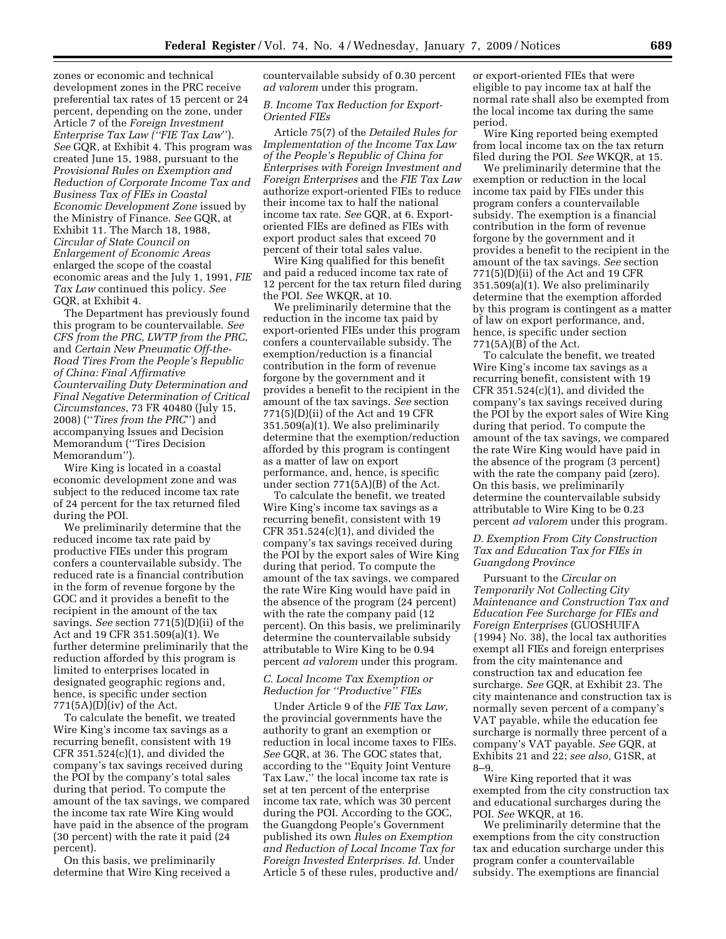zones or economic and technical development zones in the PRC receive preferential tax rates of 15 percent or 24 percent, depending on the zone, under Article 7 of the *Foreign Investment Enterprise Tax Law (''FIE Tax Law*''). *See* GQR, at Exhibit 4. This program was created June 15, 1988, pursuant to the *Provisional Rules on Exemption and Reduction of Corporate Income Tax and Business Tax of FIEs in Coastal Economic Development Zone* issued by the Ministry of Finance. *See* GQR, at Exhibit 11. The March 18, 1988, *Circular of State Council on Enlargement of Economic Areas*  enlarged the scope of the coastal economic areas and the July 1, 1991, *FIE Tax Law* continued this policy. *See*  GQR, at Exhibit 4.

The Department has previously found this program to be countervailable. *See CFS from the PRC, LWTP from the PRC*, and *Certain New Pneumatic Off-the-Road Tires From the People's Republic of China: Final Affirmative Countervailing Duty Determination and Final Negative Determination of Critical Circumstances*, 73 FR 40480 (July 15, 2008) (''*Tires from the PRC*'') and accompanying Issues and Decision Memorandum (''Tires Decision Memorandum'').

Wire King is located in a coastal economic development zone and was subject to the reduced income tax rate of 24 percent for the tax returned filed during the POI.

We preliminarily determine that the reduced income tax rate paid by productive FIEs under this program confers a countervailable subsidy. The reduced rate is a financial contribution in the form of revenue forgone by the GOC and it provides a benefit to the recipient in the amount of the tax savings. *See* section 771(5)(D)(ii) of the Act and 19 CFR 351.509(a)(1). We further determine preliminarily that the reduction afforded by this program is limited to enterprises located in designated geographic regions and, hence, is specific under section 771(5A)(D)(iv) of the Act.

To calculate the benefit, we treated Wire King's income tax savings as a recurring benefit, consistent with 19  $CFR$  351.524 $(c)(1)$ , and divided the company's tax savings received during the POI by the company's total sales during that period. To compute the amount of the tax savings, we compared the income tax rate Wire King would have paid in the absence of the program (30 percent) with the rate it paid (24 percent).

On this basis, we preliminarily determine that Wire King received a countervailable subsidy of 0.30 percent *ad valorem* under this program.

### *B. Income Tax Reduction for Export-Oriented FIEs*

Article 75(7) of the *Detailed Rules for Implementation of the Income Tax Law of the People's Republic of China for Enterprises with Foreign Investment and Foreign Enterprises* and the *FIE Tax Law*  authorize export-oriented FIEs to reduce their income tax to half the national income tax rate. *See* GQR, at 6. Exportoriented FIEs are defined as FIEs with export product sales that exceed 70 percent of their total sales value.

Wire King qualified for this benefit and paid a reduced income tax rate of 12 percent for the tax return filed during the POI. *See* WKQR, at 10.

We preliminarily determine that the reduction in the income tax paid by export-oriented FIEs under this program confers a countervailable subsidy. The exemption/reduction is a financial contribution in the form of revenue forgone by the government and it provides a benefit to the recipient in the amount of the tax savings. *See* section 771(5)(D)(ii) of the Act and 19 CFR 351.509(a)(1). We also preliminarily determine that the exemption/reduction afforded by this program is contingent as a matter of law on export performance, and, hence, is specific under section 771(5A)(B) of the Act.

To calculate the benefit, we treated Wire King's income tax savings as a recurring benefit, consistent with 19 CFR  $351.524(c)(1)$ , and divided the company's tax savings received during the POI by the export sales of Wire King during that period. To compute the amount of the tax savings, we compared the rate Wire King would have paid in the absence of the program (24 percent) with the rate the company paid (12 percent). On this basis, we preliminarily determine the countervailable subsidy attributable to Wire King to be 0.94 percent *ad valorem* under this program.

## *C. Local Income Tax Exemption or Reduction for ''Productive'' FIEs*

Under Article 9 of the *FIE Tax Law,*  the provincial governments have the authority to grant an exemption or reduction in local income taxes to FIEs. *See* GQR, at 36. The GOC states that, according to the ''Equity Joint Venture Tax Law,'' the local income tax rate is set at ten percent of the enterprise income tax rate, which was 30 percent during the POI. According to the GOC, the Guangdong People's Government published its own *Rules on Exemption and Reduction of Local Income Tax for Foreign Invested Enterprises. Id.* Under Article 5 of these rules, productive and/ or export-oriented FIEs that were eligible to pay income tax at half the normal rate shall also be exempted from the local income tax during the same period.

Wire King reported being exempted from local income tax on the tax return filed during the POI. *See* WKQR, at 15.

We preliminarily determine that the exemption or reduction in the local income tax paid by FIEs under this program confers a countervailable subsidy. The exemption is a financial contribution in the form of revenue forgone by the government and it provides a benefit to the recipient in the amount of the tax savings. *See* section 771(5)(D)(ii) of the Act and 19 CFR 351.509(a)(1). We also preliminarily determine that the exemption afforded by this program is contingent as a matter of law on export performance, and, hence, is specific under section  $771(5A)(B)$  of the Act.

To calculate the benefit, we treated Wire King's income tax savings as a recurring benefit, consistent with 19 CFR  $351.524(c)(1)$ , and divided the company's tax savings received during the POI by the export sales of Wire King during that period. To compute the amount of the tax savings, we compared the rate Wire King would have paid in the absence of the program (3 percent) with the rate the company paid (zero). On this basis, we preliminarily determine the countervailable subsidy attributable to Wire King to be 0.23 percent *ad valorem* under this program.

# *D. Exemption From City Construction Tax and Education Tax for FIEs in Guangdong Province*

Pursuant to the *Circular on Temporarily Not Collecting City Maintenance and Construction Tax and Education Fee Surcharge for FIEs and Foreign Enterprises* (GUOSHUIFA {1994} No. 38), the local tax authorities exempt all FIEs and foreign enterprises from the city maintenance and construction tax and education fee surcharge. *See* GQR, at Exhibit 23. The city maintenance and construction tax is normally seven percent of a company's VAT payable, while the education fee surcharge is normally three percent of a company's VAT payable. *See* GQR, at Exhibits 21 and 22; *see also,* G1SR, at 8–9.

Wire King reported that it was exempted from the city construction tax and educational surcharges during the POI. *See* WKQR, at 16.

We preliminarily determine that the exemptions from the city construction tax and education surcharge under this program confer a countervailable subsidy. The exemptions are financial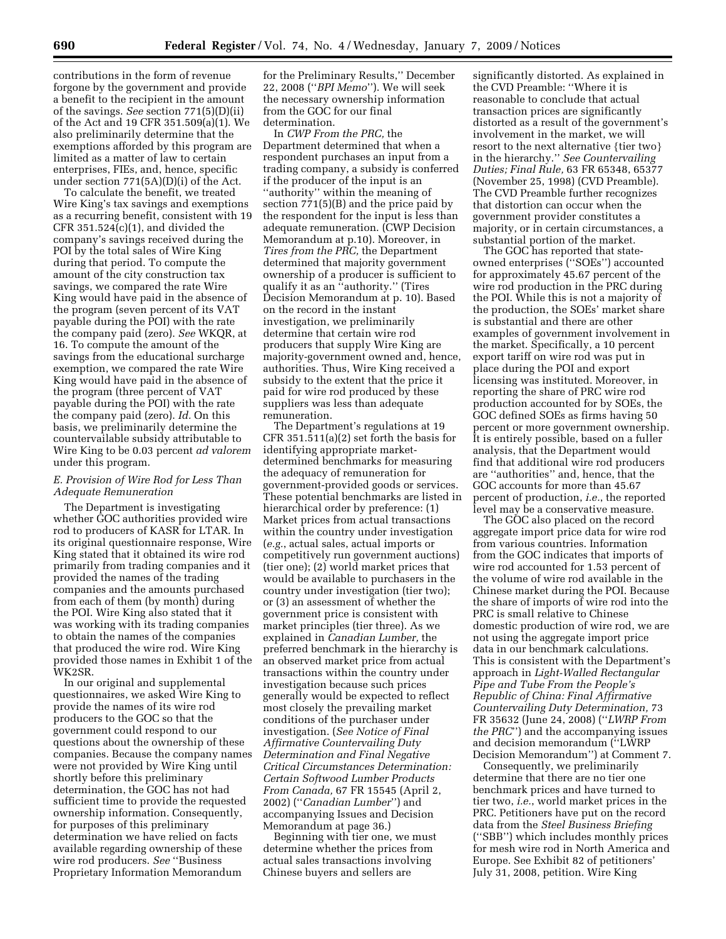contributions in the form of revenue forgone by the government and provide a benefit to the recipient in the amount of the savings. *See* section 771(5)(D)(ii) of the Act and 19 CFR 351.509(a)(1). We also preliminarily determine that the exemptions afforded by this program are limited as a matter of law to certain enterprises, FIEs, and, hence, specific under section 771(5A)(D)(i) of the Act.

To calculate the benefit, we treated Wire King's tax savings and exemptions as a recurring benefit, consistent with 19 CFR  $351.524(c)(1)$ , and divided the company's savings received during the POI by the total sales of Wire King during that period. To compute the amount of the city construction tax savings, we compared the rate Wire King would have paid in the absence of the program (seven percent of its VAT payable during the POI) with the rate the company paid (zero). *See* WKQR, at 16. To compute the amount of the savings from the educational surcharge exemption, we compared the rate Wire King would have paid in the absence of the program (three percent of VAT payable during the POI) with the rate the company paid (zero). *Id.* On this basis, we preliminarily determine the countervailable subsidy attributable to Wire King to be 0.03 percent *ad valorem*  under this program.

## *E. Provision of Wire Rod for Less Than Adequate Remuneration*

The Department is investigating whether GOC authorities provided wire rod to producers of KASR for LTAR. In its original questionnaire response, Wire King stated that it obtained its wire rod primarily from trading companies and it provided the names of the trading companies and the amounts purchased from each of them (by month) during the POI. Wire King also stated that it was working with its trading companies to obtain the names of the companies that produced the wire rod. Wire King provided those names in Exhibit 1 of the WK2SR.

In our original and supplemental questionnaires, we asked Wire King to provide the names of its wire rod producers to the GOC so that the government could respond to our questions about the ownership of these companies. Because the company names were not provided by Wire King until shortly before this preliminary determination, the GOC has not had sufficient time to provide the requested ownership information. Consequently, for purposes of this preliminary determination we have relied on facts available regarding ownership of these wire rod producers. *See* ''Business Proprietary Information Memorandum

for the Preliminary Results,'' December 22, 2008 (''*BPI Memo*''). We will seek the necessary ownership information from the GOC for our final determination.

In *CWP From the PRC,* the Department determined that when a respondent purchases an input from a trading company, a subsidy is conferred if the producer of the input is an ''authority'' within the meaning of section 771(5)(B) and the price paid by the respondent for the input is less than adequate remuneration. (CWP Decision Memorandum at p.10). Moreover, in *Tires from the PRC,* the Department determined that majority government ownership of a producer is sufficient to qualify it as an ''authority.'' (Tires Decision Memorandum at p. 10). Based on the record in the instant investigation, we preliminarily determine that certain wire rod producers that supply Wire King are majority-government owned and, hence, authorities. Thus, Wire King received a subsidy to the extent that the price it paid for wire rod produced by these suppliers was less than adequate remuneration.

The Department's regulations at 19 CFR 351.511(a)(2) set forth the basis for identifying appropriate marketdetermined benchmarks for measuring the adequacy of remuneration for government-provided goods or services. These potential benchmarks are listed in hierarchical order by preference: (1) Market prices from actual transactions within the country under investigation (*e.g.*, actual sales, actual imports or competitively run government auctions) (tier one); (2) world market prices that would be available to purchasers in the country under investigation (tier two); or (3) an assessment of whether the government price is consistent with market principles (tier three). As we explained in *Canadian Lumber,* the preferred benchmark in the hierarchy is an observed market price from actual transactions within the country under investigation because such prices generally would be expected to reflect most closely the prevailing market conditions of the purchaser under investigation. (*See Notice of Final Affirmative Countervailing Duty Determination and Final Negative Critical Circumstances Determination: Certain Softwood Lumber Products From Canada,* 67 FR 15545 (April 2, 2002) (''*Canadian Lumber*'') and accompanying Issues and Decision Memorandum at page 36.)

Beginning with tier one, we must determine whether the prices from actual sales transactions involving Chinese buyers and sellers are

significantly distorted. As explained in the CVD Preamble: ''Where it is reasonable to conclude that actual transaction prices are significantly distorted as a result of the government's involvement in the market, we will resort to the next alternative {tier two} in the hierarchy.'' *See Countervailing Duties; Final Rule,* 63 FR 65348, 65377 (November 25, 1998) (CVD Preamble). The CVD Preamble further recognizes that distortion can occur when the government provider constitutes a majority, or in certain circumstances, a substantial portion of the market.

The GOC has reported that stateowned enterprises (''SOEs'') accounted for approximately 45.67 percent of the wire rod production in the PRC during the POI. While this is not a majority of the production, the SOEs' market share is substantial and there are other examples of government involvement in the market. Specifically, a 10 percent export tariff on wire rod was put in place during the POI and export licensing was instituted. Moreover, in reporting the share of PRC wire rod production accounted for by SOEs, the GOC defined SOEs as firms having 50 percent or more government ownership. It is entirely possible, based on a fuller analysis, that the Department would find that additional wire rod producers are ''authorities'' and, hence, that the GOC accounts for more than 45.67 percent of production, *i.e.*, the reported level may be a conservative measure.

The GOC also placed on the record aggregate import price data for wire rod from various countries. Information from the GOC indicates that imports of wire rod accounted for 1.53 percent of the volume of wire rod available in the Chinese market during the POI. Because the share of imports of wire rod into the PRC is small relative to Chinese domestic production of wire rod, we are not using the aggregate import price data in our benchmark calculations. This is consistent with the Department's approach in *Light-Walled Rectangular Pipe and Tube From the People's Republic of China: Final Affirmative Countervailing Duty Determination,* 73 FR 35632 (June 24, 2008) (''*LWRP From the PRC*'') and the accompanying issues and decision memorandum (''LWRP Decision Memorandum'') at Comment 7.

Consequently, we preliminarily determine that there are no tier one benchmark prices and have turned to tier two, *i.e.*, world market prices in the PRC. Petitioners have put on the record data from the *Steel Business Briefing*  (''SBB'') which includes monthly prices for mesh wire rod in North America and Europe. See Exhibit 82 of petitioners' July 31, 2008, petition. Wire King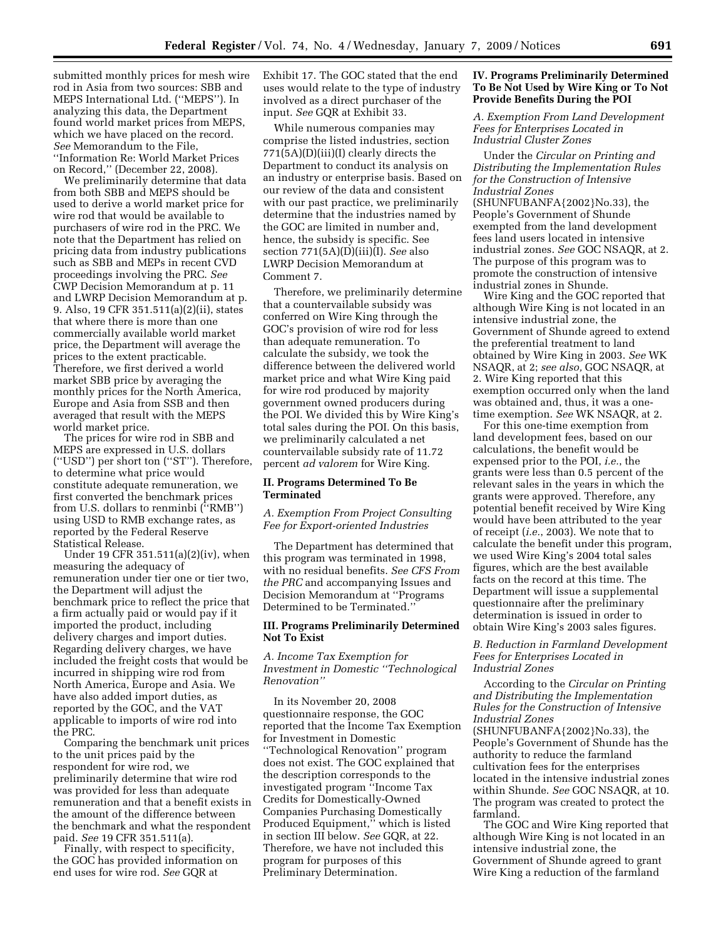submitted monthly prices for mesh wire rod in Asia from two sources: SBB and MEPS International Ltd. (''MEPS''). In analyzing this data, the Department found world market prices from MEPS, which we have placed on the record. *See* Memorandum to the File, ''Information Re: World Market Prices on Record,'' (December 22, 2008).

We preliminarily determine that data from both SBB and MEPS should be used to derive a world market price for wire rod that would be available to purchasers of wire rod in the PRC. We note that the Department has relied on pricing data from industry publications such as SBB and MEPs in recent CVD proceedings involving the PRC. *See*  CWP Decision Memorandum at p. 11 and LWRP Decision Memorandum at p. 9. Also, 19 CFR 351.511(a)(2)(ii), states that where there is more than one commercially available world market price, the Department will average the prices to the extent practicable. Therefore, we first derived a world market SBB price by averaging the monthly prices for the North America, Europe and Asia from SSB and then averaged that result with the MEPS world market price.

The prices for wire rod in SBB and MEPS are expressed in U.S. dollars (''USD'') per short ton (''ST''). Therefore, to determine what price would constitute adequate remuneration, we first converted the benchmark prices from U.S. dollars to renminbi (''RMB'') using USD to RMB exchange rates, as reported by the Federal Reserve Statistical Release.

Under 19 CFR 351.511(a)(2)(iv), when measuring the adequacy of remuneration under tier one or tier two, the Department will adjust the benchmark price to reflect the price that a firm actually paid or would pay if it imported the product, including delivery charges and import duties. Regarding delivery charges, we have included the freight costs that would be incurred in shipping wire rod from North America, Europe and Asia. We have also added import duties, as reported by the GOC, and the VAT applicable to imports of wire rod into the PRC.

Comparing the benchmark unit prices to the unit prices paid by the respondent for wire rod, we preliminarily determine that wire rod was provided for less than adequate remuneration and that a benefit exists in the amount of the difference between the benchmark and what the respondent paid. *See* 19 CFR 351.511(a).

Finally, with respect to specificity, the GOC has provided information on end uses for wire rod. *See* GQR at

Exhibit 17. The GOC stated that the end uses would relate to the type of industry involved as a direct purchaser of the input. *See* GQR at Exhibit 33.

While numerous companies may comprise the listed industries, section 771(5A)(D)(iii)(I) clearly directs the Department to conduct its analysis on an industry or enterprise basis. Based on our review of the data and consistent with our past practice, we preliminarily determine that the industries named by the GOC are limited in number and, hence, the subsidy is specific. See section 771(5A)(D)(iii)(I). *See* also LWRP Decision Memorandum at Comment 7.

Therefore, we preliminarily determine that a countervailable subsidy was conferred on Wire King through the GOC's provision of wire rod for less than adequate remuneration. To calculate the subsidy, we took the difference between the delivered world market price and what Wire King paid for wire rod produced by majority government owned producers during the POI. We divided this by Wire King's total sales during the POI. On this basis, we preliminarily calculated a net countervailable subsidy rate of 11.72 percent *ad valorem* for Wire King.

### **II. Programs Determined To Be Terminated**

*A. Exemption From Project Consulting Fee for Export-oriented Industries* 

The Department has determined that this program was terminated in 1998, with no residual benefits. *See CFS From the PRC* and accompanying Issues and Decision Memorandum at ''Programs Determined to be Terminated.''

## **III. Programs Preliminarily Determined Not To Exist**

## *A. Income Tax Exemption for Investment in Domestic ''Technological Renovation''*

In its November 20, 2008 questionnaire response, the GOC reported that the Income Tax Exemption for Investment in Domestic ''Technological Renovation'' program does not exist. The GOC explained that the description corresponds to the investigated program ''Income Tax Credits for Domestically-Owned Companies Purchasing Domestically Produced Equipment,'' which is listed in section III below. *See* GQR, at 22. Therefore, we have not included this program for purposes of this Preliminary Determination.

### **IV. Programs Preliminarily Determined To Be Not Used by Wire King or To Not Provide Benefits During the POI**

*A. Exemption From Land Development Fees for Enterprises Located in Industrial Cluster Zones* 

Under the *Circular on Printing and Distributing the Implementation Rules for the Construction of Intensive Industrial Zones*  (SHUNFUBANFA{2002}No.33), the People's Government of Shunde exempted from the land development fees land users located in intensive industrial zones. *See* GOC NSAQR, at 2. The purpose of this program was to promote the construction of intensive

industrial zones in Shunde. Wire King and the GOC reported that although Wire King is not located in an intensive industrial zone, the Government of Shunde agreed to extend the preferential treatment to land obtained by Wire King in 2003. *See* WK NSAQR, at 2; *see also,* GOC NSAQR, at 2. Wire King reported that this exemption occurred only when the land was obtained and, thus, it was a onetime exemption. *See* WK NSAQR, at 2.

For this one-time exemption from land development fees, based on our calculations, the benefit would be expensed prior to the POI, *i.e.*, the grants were less than 0.5 percent of the relevant sales in the years in which the grants were approved. Therefore, any potential benefit received by Wire King would have been attributed to the year of receipt (*i.e.*, 2003). We note that to calculate the benefit under this program, we used Wire King's 2004 total sales figures, which are the best available facts on the record at this time. The Department will issue a supplemental questionnaire after the preliminary determination is issued in order to obtain Wire King's 2003 sales figures.

*B. Reduction in Farmland Development Fees for Enterprises Located in Industrial Zones* 

According to the *Circular on Printing and Distributing the Implementation Rules for the Construction of Intensive Industrial Zones* 

(SHUNFUBANFA{2002}No.33), the People's Government of Shunde has the authority to reduce the farmland cultivation fees for the enterprises located in the intensive industrial zones within Shunde. *See* GOC NSAQR, at 10. The program was created to protect the farmland.

The GOC and Wire King reported that although Wire King is not located in an intensive industrial zone, the Government of Shunde agreed to grant Wire King a reduction of the farmland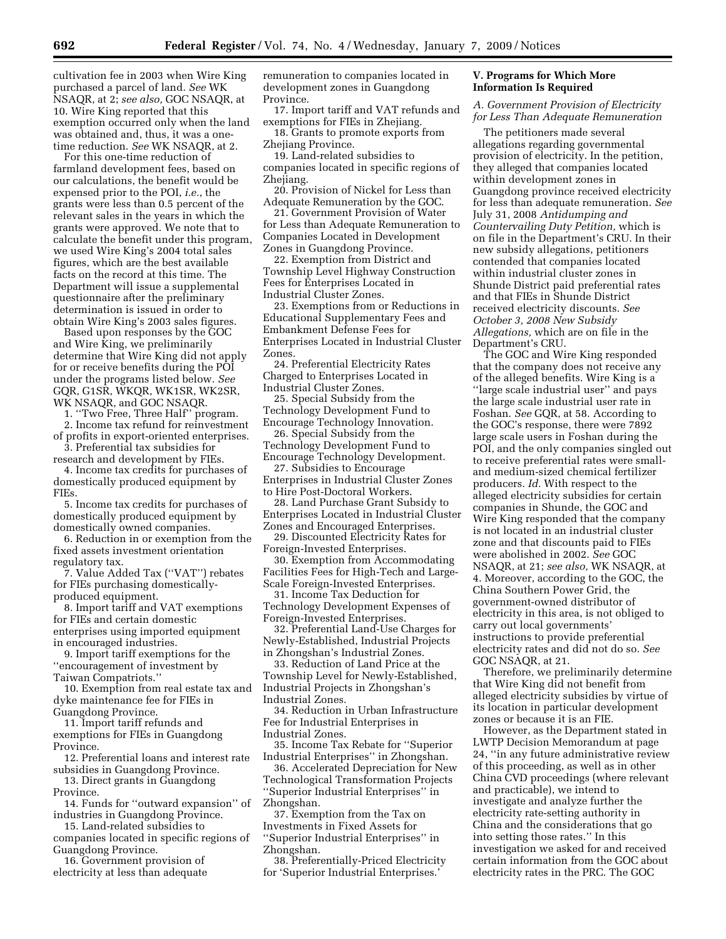cultivation fee in 2003 when Wire King purchased a parcel of land. *See* WK NSAQR, at 2; *see also,* GOC NSAQR, at 10. Wire King reported that this exemption occurred only when the land was obtained and, thus, it was a onetime reduction. *See* WK NSAQR, at 2.

For this one-time reduction of farmland development fees, based on our calculations, the benefit would be expensed prior to the POI, *i.e.*, the grants were less than 0.5 percent of the relevant sales in the years in which the grants were approved. We note that to calculate the benefit under this program, we used Wire King's 2004 total sales figures, which are the best available facts on the record at this time. The Department will issue a supplemental questionnaire after the preliminary determination is issued in order to obtain Wire King's 2003 sales figures.

Based upon responses by the GOC and Wire King, we preliminarily determine that Wire King did not apply for or receive benefits during the POI under the programs listed below. *See*  GQR, G1SR, WKQR, WK1SR, WK2SR, WK NSAQR, and GOC NSAQR.

1. ''Two Free, Three Half'' program.

2. Income tax refund for reinvestment of profits in export-oriented enterprises.

3. Preferential tax subsidies for research and development by FIEs.

4. Income tax credits for purchases of domestically produced equipment by FIEs.

5. Income tax credits for purchases of domestically produced equipment by domestically owned companies.

6. Reduction in or exemption from the fixed assets investment orientation regulatory tax.

7. Value Added Tax (''VAT'') rebates for FIEs purchasing domesticallyproduced equipment.

8. Import tariff and VAT exemptions for FIEs and certain domestic enterprises using imported equipment in encouraged industries.

9. Import tariff exemptions for the ''encouragement of investment by Taiwan Compatriots.''

10. Exemption from real estate tax and dyke maintenance fee for FIEs in Guangdong Province.

11. Import tariff refunds and exemptions for FIEs in Guangdong Province.

12. Preferential loans and interest rate subsidies in Guangdong Province.

13. Direct grants in Guangdong Province.

14. Funds for ''outward expansion'' of industries in Guangdong Province.

15. Land-related subsidies to companies located in specific regions of Guangdong Province.

16. Government provision of electricity at less than adequate remuneration to companies located in development zones in Guangdong Province.

17. Import tariff and VAT refunds and exemptions for FIEs in Zhejiang.

18. Grants to promote exports from Zhejiang Province.

19. Land-related subsidies to companies located in specific regions of Zhejiang.

20. Provision of Nickel for Less than Adequate Remuneration by the GOC.

21. Government Provision of Water for Less than Adequate Remuneration to Companies Located in Development Zones in Guangdong Province.

22. Exemption from District and Township Level Highway Construction Fees for Enterprises Located in Industrial Cluster Zones.

23. Exemptions from or Reductions in Educational Supplementary Fees and Embankment Defense Fees for Enterprises Located in Industrial Cluster Zones.

24. Preferential Electricity Rates Charged to Enterprises Located in Industrial Cluster Zones.

25. Special Subsidy from the Technology Development Fund to Encourage Technology Innovation.

26. Special Subsidy from the Technology Development Fund to Encourage Technology Development.

27. Subsidies to Encourage Enterprises in Industrial Cluster Zones to Hire Post-Doctoral Workers.

28. Land Purchase Grant Subsidy to Enterprises Located in Industrial Cluster Zones and Encouraged Enterprises.

29. Discounted Electricity Rates for Foreign-Invested Enterprises.

30. Exemption from Accommodating Facilities Fees for High-Tech and Large-Scale Foreign-Invested Enterprises.

31. Income Tax Deduction for Technology Development Expenses of Foreign-Invested Enterprises.

32. Preferential Land-Use Charges for Newly-Established, Industrial Projects in Zhongshan's Industrial Zones.

33. Reduction of Land Price at the Township Level for Newly-Established, Industrial Projects in Zhongshan's Industrial Zones.

34. Reduction in Urban Infrastructure Fee for Industrial Enterprises in Industrial Zones.

35. Income Tax Rebate for ''Superior Industrial Enterprises'' in Zhongshan.

36. Accelerated Depreciation for New Technological Transformation Projects ''Superior Industrial Enterprises'' in Zhongshan.

37. Exemption from the Tax on Investments in Fixed Assets for ''Superior Industrial Enterprises'' in Zhongshan.

38. Preferentially-Priced Electricity for 'Superior Industrial Enterprises.'

# **V. Programs for Which More Information Is Required**

*A. Government Provision of Electricity for Less Than Adequate Remuneration* 

The petitioners made several allegations regarding governmental provision of electricity. In the petition, they alleged that companies located within development zones in Guangdong province received electricity for less than adequate remuneration. *See*  July 31, 2008 *Antidumping and Countervailing Duty Petition,* which is on file in the Department's CRU. In their new subsidy allegations, petitioners contended that companies located within industrial cluster zones in Shunde District paid preferential rates and that FIEs in Shunde District received electricity discounts. *See October 3, 2008 New Subsidy Allegations,* which are on file in the Department's CRU.

The GOC and Wire King responded that the company does not receive any of the alleged benefits. Wire King is a ''large scale industrial user'' and pays the large scale industrial user rate in Foshan. *See* GQR, at 58. According to the GOC's response, there were 7892 large scale users in Foshan during the POI, and the only companies singled out to receive preferential rates were smalland medium-sized chemical fertilizer producers. *Id.* With respect to the alleged electricity subsidies for certain companies in Shunde, the GOC and Wire King responded that the company is not located in an industrial cluster zone and that discounts paid to FIEs were abolished in 2002. *See* GOC NSAQR, at 21; *see also,* WK NSAQR, at 4. Moreover, according to the GOC, the China Southern Power Grid, the government-owned distributor of electricity in this area, is not obliged to carry out local governments' instructions to provide preferential electricity rates and did not do so. *See*  GOC NSAQR, at 21.

Therefore, we preliminarily determine that Wire King did not benefit from alleged electricity subsidies by virtue of its location in particular development zones or because it is an FIE.

However, as the Department stated in LWTP Decision Memorandum at page 24, ''in any future administrative review of this proceeding, as well as in other China CVD proceedings (where relevant and practicable), we intend to investigate and analyze further the electricity rate-setting authority in China and the considerations that go into setting those rates.'' In this investigation we asked for and received certain information from the GOC about electricity rates in the PRC. The GOC